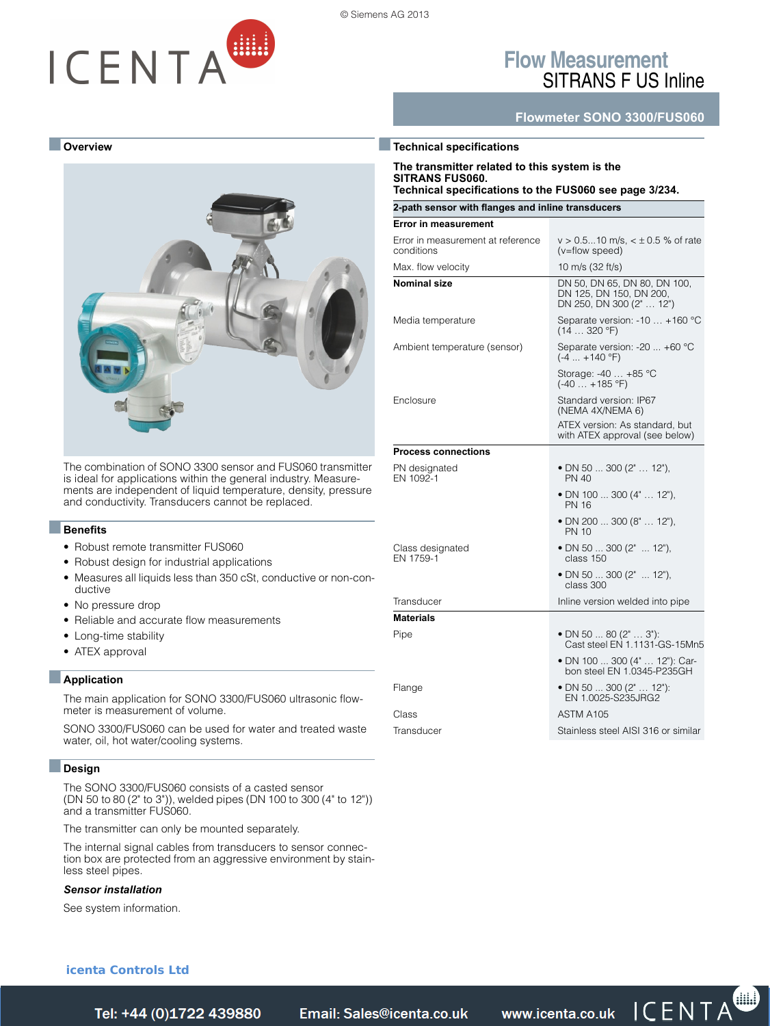# ICENTA

© Siemens AG 2013

**Process connections**

## **Flow Measurement** SITRANS F US Inline

**Flowmeter SONO 3300/FUS060**



The combination of SONO 3300 sensor and FUS060 transmitter is ideal for applications within the general industry. Measurements are independent of liquid temperature, density, pressure and conductivity. Transducers cannot be replaced.

#### ■**Benefits**

- Robust remote transmitter FUS060
- Robust design for industrial applications
- Measures all liquids less than 350 cSt, conductive or non-conductive
- No pressure drop
- Reliable and accurate flow measurements
- Long-time stability
- ATEX approval

#### ■**Application**

The main application for SONO 3300/FUS060 ultrasonic flowmeter is measurement of volume.

SONO 3300/FUS060 can be used for water and treated waste water, oil, hot water/cooling systems.

#### ■**Design**

The SONO 3300/FUS060 consists of a casted sensor (DN 50 to 80 (2" to 3")), welded pipes (DN 100 to 300 (4" to 12")) and a transmitter FUS060.

The transmitter can only be mounted separately.

The internal signal cables from transducers to sensor connection box are protected from an aggressive environment by stainless steel pipes.

#### *Sensor installation*

[See system information.](https://www.icenta.co.uk/contact.html)

#### ■**Technical specifications The transmitter related to this system is the SITRANS FUS060. Technical specifications to the FUS060 see page 3/234. 2-path sensor with flanges and inline transducers Error in measurement** Error in measurement at reference conditions  $v > 0.5...10$  m/s,  $< \pm 0.5$  % of rate (v=flow speed) Max. flow velocity 10 m/s (32 ft/s) **Nominal size** DN 50, DN 65, DN 80, DN 100, DN 125, DN 150, DN 200, DN 250, DN 300 (2" … 12") Media temperature Separate version: -10 ... +160 °C  $(14...320 °F)$ Ambient temperature (sensor) Separate version: -20 ... +60 °C (-4 ... +140 °F) Storage: -40 … +85 °C (-40 … +185 °F) Enclosure **Standard version: IP67** (NEMA 4X/NEMA 6) ATEX version: As standard, but with ATEX approval (see below)

PN designated EN 1092-1 • DN 50 ... 300 (2" … 12"), PN 40 • DN 100 ... 300 (4" … 12"), PN 16 • DN 200 ... 300 (8" … 12"), PN 10 Class designated EN 1759-1 • DN 50 ... 300 (2" ... 12"), class 150 • DN 50 ... 300 (2" ... 12"), class 300 Transducer **Inline** version welded into pipe **Materials** Pipe • DN 50 ... 80 (2" … 3"): Cast steel EN 1.1131-GS-15Mn5 • DN 100 ... 300 (4" … 12"): Car-bon steel EN 1.0345-P235GH Flange • DN 50 ... 300 (2" ... 12"): EN 1.0025-S235JRG2 Class ASTM A105

Transducer Stainless steel AISI 316 or similar

#### **icenta Controls Ltd**

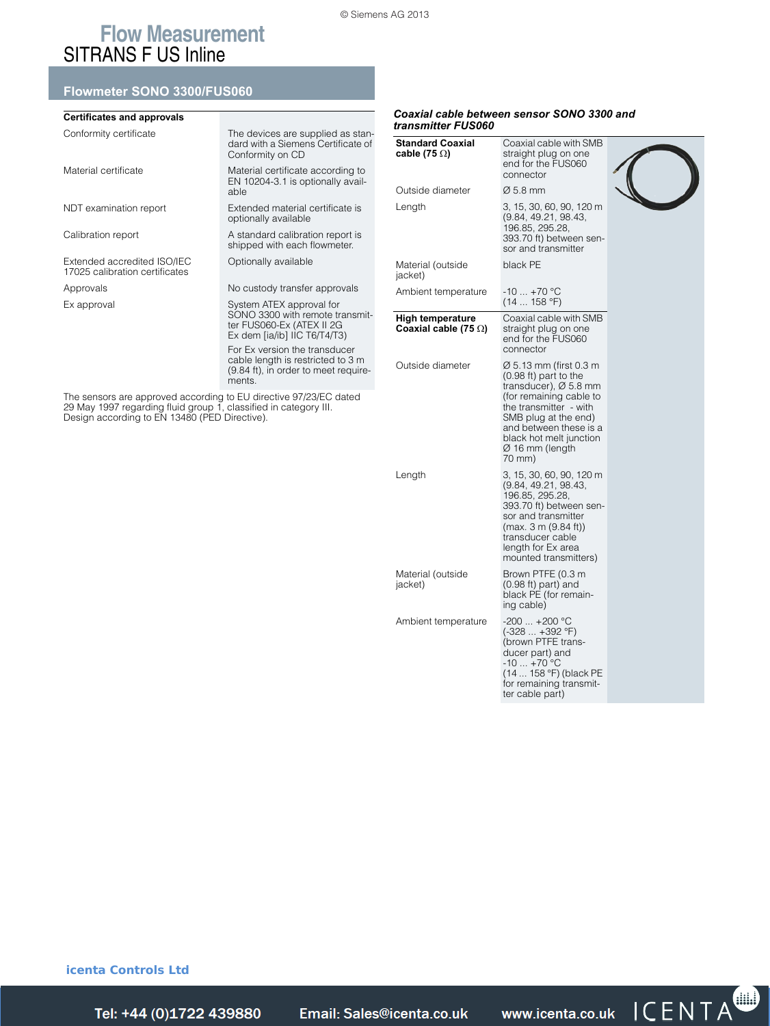## **Flow Measurement** SITRANS F US Inline

#### **Flowmeter SONO 3300/FUS060**

| <b>Certificates and approvals</b>                                                                                                                                                      |                                                                                                 |                                                                       | Coaxial cable between sensor SONO 3300 and                                                                                                                    |  |  |
|----------------------------------------------------------------------------------------------------------------------------------------------------------------------------------------|-------------------------------------------------------------------------------------------------|-----------------------------------------------------------------------|---------------------------------------------------------------------------------------------------------------------------------------------------------------|--|--|
| Conformity certificate                                                                                                                                                                 | The devices are supplied as stan-<br>dard with a Siemens Certificate of<br>Conformity on CD     | transmitter FUS060<br><b>Standard Coaxial</b><br>cable (75 $\Omega$ ) | Coaxial cable with SMB<br>straight plug on one                                                                                                                |  |  |
| Material certificate                                                                                                                                                                   | Material certificate according to<br>EN 10204-3.1 is optionally avail-                          |                                                                       | end for the FUS060<br>connector                                                                                                                               |  |  |
|                                                                                                                                                                                        | able                                                                                            | Outside diameter                                                      | $\varnothing$ 5.8 mm                                                                                                                                          |  |  |
| NDT examination report                                                                                                                                                                 | Extended material certificate is<br>optionally available                                        | Length                                                                | 3, 15, 30, 60, 90, 120 m<br>(9.84, 49.21, 98.43,                                                                                                              |  |  |
| Calibration report                                                                                                                                                                     | A standard calibration report is<br>shipped with each flowmeter.                                |                                                                       | 196.85, 295.28,<br>393.70 ft) between sen-<br>sor and transmitter                                                                                             |  |  |
| Extended accredited ISO/IEC<br>17025 calibration certificates                                                                                                                          | Optionally available                                                                            | Material (outside<br>jacket)                                          | black PE                                                                                                                                                      |  |  |
| Approvals                                                                                                                                                                              | No custody transfer approvals                                                                   | Ambient temperature                                                   | $-10$ $+70$ °C                                                                                                                                                |  |  |
| Ex approval                                                                                                                                                                            | System ATEX approval for                                                                        |                                                                       | (14158 °F)                                                                                                                                                    |  |  |
|                                                                                                                                                                                        | SONO 3300 with remote transmit-<br>ter FUS060-Ex (ATEX II 2G<br>Ex dem [ia/ib] IIC $T6/T4/T3$ ) | <b>High temperature</b><br>Coaxial cable (75 $\Omega$ )               | Coaxial cable with SMB<br>straight plug on one<br>end for the FUS060                                                                                          |  |  |
|                                                                                                                                                                                        | For Ex version the transducer                                                                   |                                                                       | connector                                                                                                                                                     |  |  |
|                                                                                                                                                                                        | cable length is restricted to 3 m<br>(9.84 ft), in order to meet require-<br>ments.             | Outside diameter                                                      | $\varnothing$ 5.13 mm (first 0.3 m<br>(0.98 ft) part to the<br>transducer), $Ø$ 5.8 mm                                                                        |  |  |
| The sensors are approved according to EU directive 97/23/EC dated<br>29 May 1997 regarding fluid group 1, classified in category III.<br>Design according to EN 13480 (PED Directive). |                                                                                                 |                                                                       | (for remaining cable to<br>the transmitter - with<br>SMB plug at the end)<br>and between these is a<br>black hot melt junction<br>$\varnothing$ 16 mm (length |  |  |

| <b>Standard Coaxial</b><br>cable (75 $\Omega$ )  | Coaxial cable with SMB<br>straight plug on one<br>end for the FUS060<br>connector                                                                                                                                                                             |  |
|--------------------------------------------------|---------------------------------------------------------------------------------------------------------------------------------------------------------------------------------------------------------------------------------------------------------------|--|
| Outside diameter                                 | $\varnothing$ 5.8 mm                                                                                                                                                                                                                                          |  |
| Length                                           | 3, 15, 30, 60, 90, 120 m<br>(9.84, 49.21, 98.43,<br>196.85, 295.28,<br>393.70 ft) between sen-<br>sor and transmitter                                                                                                                                         |  |
| Material (outside<br>jacket)                     | black PE                                                                                                                                                                                                                                                      |  |
| Ambient temperature                              | -10  +70 °C<br>(14158 °F)                                                                                                                                                                                                                                     |  |
| High temperature<br>Coaxial cable (75 $\Omega$ ) | Coaxial cable with SMB<br>straight plug on one<br>end for the FUS060<br>connector                                                                                                                                                                             |  |
| Outside diameter                                 | Ø 5.13 mm (first 0.3 m<br>$(0.98 \text{ ft})$ part to the<br>transducer), $\varnothing$ 5.8 mm<br>(for remaining cable to<br>the transmitter - with<br>SMB plug at the end)<br>and between these is a<br>black hot melt junction<br>Ø 16 mm (length<br>70 mm) |  |
| Length                                           | 3, 15, 30, 60, 90, 120 m<br>(9.84, 49.21, 98.43,<br>196.85, 295.28,<br>393.70 ft) between sen-<br>sor and transmitter<br>(max. 3 m (9.84 ft))<br>transducer cable<br>length for Ex area<br>mounted transmitters)                                              |  |
| Material (outside<br>jacket)                     | Brown PTFE (0.3 m<br>$(0.98 \text{ ft})$ part) and<br>black PE (for remain-<br>ing cable)                                                                                                                                                                     |  |
| Ambient temperature                              | $-200+200$ °C<br>$(-328 +392 °F)$<br>(brown PTFE trans-<br>ducer part) and<br>$-10+70$ °C<br>(14  158 °F) (black PE<br>for remaining transmit-<br>ter cable part)                                                                                             |  |

**icenta Controls Ltd** 

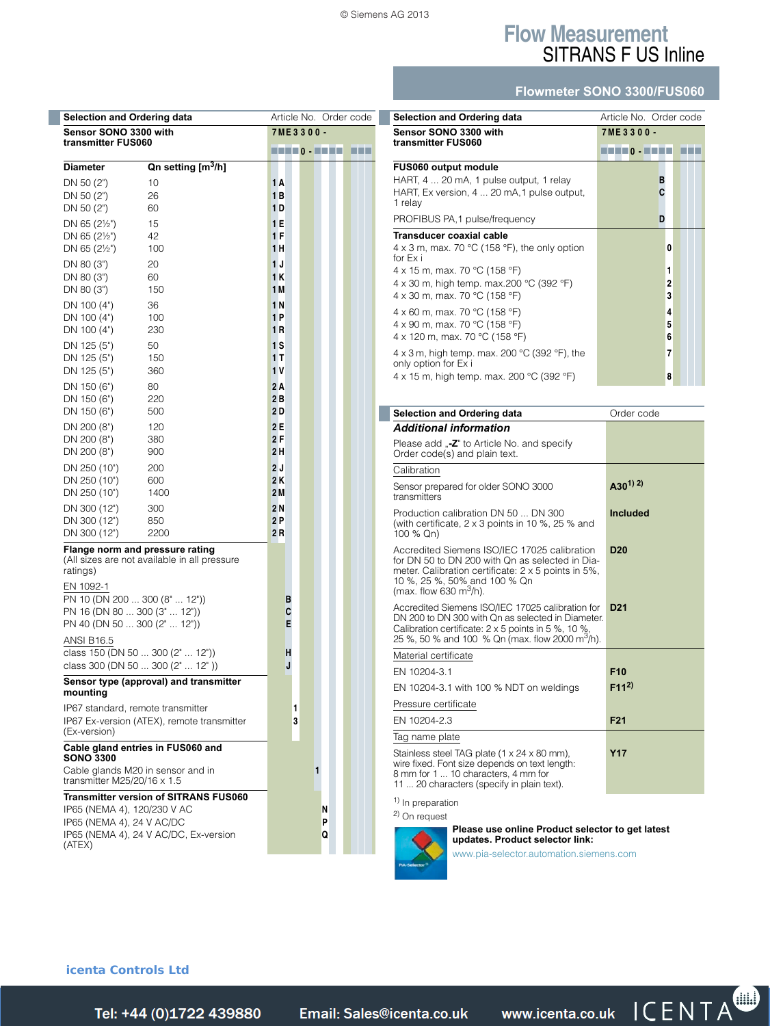## **Flow Measurement** SITRANS F US Inline

#### **Flowmeter SONO 3300/FUS060**

| <b>Selection and Ordering data</b>                       |                                                                                                                  | Article No. Order code       |  |  |
|----------------------------------------------------------|------------------------------------------------------------------------------------------------------------------|------------------------------|--|--|
|                                                          | Sensor SONO 3300 with<br>transmitter FUS060                                                                      |                              |  |  |
|                                                          |                                                                                                                  | HELD . HELL<br><b>The Co</b> |  |  |
| Diameter                                                 | Qn setting [m <sup>3</sup> /h]                                                                                   |                              |  |  |
| DN 50 $(2")$<br>DN 50 (2")                               | 10                                                                                                               | 1 A<br>1 B                   |  |  |
| DN 50 $(2")$                                             | 26<br>60                                                                                                         | 1 D                          |  |  |
| DN 65 $(2\frac{1}{2})$                                   | 15                                                                                                               | 1 E                          |  |  |
| DN 65 $(2\frac{1}{2})$                                   | 42                                                                                                               | 1F                           |  |  |
| DN 65 $(2\frac{1}{2})$                                   | 100                                                                                                              | 1 H                          |  |  |
| DN 80 (3")                                               | 20                                                                                                               | 1J                           |  |  |
| DN 80 (3")<br>DN 80 (3")                                 | 60<br>150                                                                                                        | 1 K<br>1 M                   |  |  |
| DN 100 (4")                                              | 36                                                                                                               | 1N                           |  |  |
| DN 100 (4")                                              | 100                                                                                                              | 1P                           |  |  |
| DN 100 (4")                                              | 230                                                                                                              | 1 R                          |  |  |
| DN 125 (5")<br>DN 125 (5")                               | 50<br>150                                                                                                        | 1S<br>1 T                    |  |  |
| DN 125 (5")                                              | 360                                                                                                              | 1 V                          |  |  |
| DN 150 (6")                                              | 80                                                                                                               | 2 A                          |  |  |
| DN 150 (6")                                              | 220                                                                                                              | 2B                           |  |  |
| DN 150 (6")                                              | 500                                                                                                              | 2 D                          |  |  |
| DN 200 (8")                                              | 120                                                                                                              | 2E<br>2 F                    |  |  |
| DN 200 (8")<br>DN 200 (8")                               | 380<br>900                                                                                                       | 2 H                          |  |  |
| DN 250 (10")                                             | 200                                                                                                              | 2 J                          |  |  |
| DN 250 (10")                                             | 600                                                                                                              | 2K                           |  |  |
| DN 250 (10")                                             | 1400                                                                                                             | 2 M                          |  |  |
| DN 300 (12")<br>DN 300 (12")                             | 300<br>850                                                                                                       | 2 N<br>2P                    |  |  |
| DN 300 (12")                                             | 2200                                                                                                             | 2 R                          |  |  |
| ratings)<br>EN 1092-1<br>PN 16 (DN 80  300 (3"  12"))    | Flange norm and pressure rating<br>(All sizes are not available in all pressure<br>PN 10 (DN 200  300 (8"  12")) | в<br>C                       |  |  |
| PN 40 (DN 50  300 (2"  12"))                             |                                                                                                                  | E                            |  |  |
| <b>ANSI B16.5</b>                                        | class 150 (DN 50  300 (2"  12"))                                                                                 | н                            |  |  |
|                                                          | class 300 (DN 50  300 (2"  12"))                                                                                 | J                            |  |  |
|                                                          | Sensor type (approval) and transmitter                                                                           |                              |  |  |
| mounting                                                 | IP67 standard, remote transmitter                                                                                | 1                            |  |  |
| (Ex-version)                                             | IP67 Ex-version (ATEX), remote transmitter                                                                       | 3                            |  |  |
| <b>SONO 3300</b>                                         | Cable gland entries in FUS060 and                                                                                |                              |  |  |
| transmitter M25/20/16 $\times$ 1.5                       | Cable glands M20 in sensor and in                                                                                | 1                            |  |  |
|                                                          | <b>Transmitter version of SITRANS FUS060</b>                                                                     |                              |  |  |
| IP65 (NEMA 4), 120/230 V AC<br>IP65 (NEMA 4), 24 V AC/DC |                                                                                                                  | Ν<br>P                       |  |  |
|                                                          | IP65 (NEMA 4), 24 V AC/DC, Ex-version                                                                            | Q                            |  |  |
| (ATEX)                                                   |                                                                                                                  |                              |  |  |

| Selection and Ordering data                                                                                                                                                                                                                 | Article No. Order code |  |  |  |  |
|---------------------------------------------------------------------------------------------------------------------------------------------------------------------------------------------------------------------------------------------|------------------------|--|--|--|--|
| Sensor SONO 3300 with                                                                                                                                                                                                                       | 7ME3300-               |  |  |  |  |
| transmitter FUS060                                                                                                                                                                                                                          | <b>THEO-THE</b>        |  |  |  |  |
| <b>FUS060 output module</b><br>HART, 4  20 mA, 1 pulse output, 1 relay<br>HART, Ex version, 4  20 mA, 1 pulse output,<br>1 relay                                                                                                            | в                      |  |  |  |  |
| PROFIBUS PA, 1 pulse/frequency                                                                                                                                                                                                              | D                      |  |  |  |  |
| Transducer coaxial cable<br>4 x 3 m, max. 70 $\degree$ C (158 $\degree$ F), the only option<br>for $Fx$ i<br>4 x 15 m, max. 70 °C (158 °F)<br>4 x 30 m, high temp. max.200 $^{\circ}$ C (392 $^{\circ}$ F)<br>4 x 30 m, max. 70 °C (158 °F) | 0<br>1<br>2<br>3       |  |  |  |  |
| 4 x 60 m, max. 70 °C (158 °F)<br>4 x 90 m, max. 70 °C (158 °F)<br>4 x 120 m, max. 70 °C (158 °F)                                                                                                                                            | 4<br>5<br>6            |  |  |  |  |
| 4 x 3 m, high temp. max. 200 $^{\circ}$ C (392 $^{\circ}$ F), the<br>only option for Ex i<br>4 x 15 m, high temp. max. 200 °C (392 °F)                                                                                                      | 7<br>8                 |  |  |  |  |

| Selection and Ordering data                                                                                                                                                                                                  | Order code      |
|------------------------------------------------------------------------------------------------------------------------------------------------------------------------------------------------------------------------------|-----------------|
| <b>Additional information</b>                                                                                                                                                                                                |                 |
| Please add "-Z" to Article No. and specify<br>Order code(s) and plain text.                                                                                                                                                  |                 |
| Calibration                                                                                                                                                                                                                  |                 |
| Sensor prepared for older SONO 3000<br>transmitters                                                                                                                                                                          | $(A30^{1})^{2}$ |
| Production calibration DN 50 DN 300<br>(with certificate, $2 \times 3$ points in 10 %, 25 % and<br>100 % Qn)                                                                                                                 | <b>Included</b> |
| Accredited Siemens ISO/IEC 17025 calibration<br>for DN 50 to DN 200 with On as selected in Dia-<br>meter. Calibration certificate: 2 x 5 points in 5%,<br>10 %, 25 %, 50% and 100 % Qn<br>(max. flow 630 m <sup>3</sup> /h). | <b>D20</b>      |
| Accredited Siemens ISO/IEC 17025 calibration for<br>DN 200 to DN 300 with Qn as selected in Diameter.<br>Calibration certificate: 2 x 5 points in 5 %, 10 %,<br>25 %, 50 % and 100 % Qn (max. flow 2000 m <sup>3</sup> /h).  | D <sub>21</sub> |
| Material certificate                                                                                                                                                                                                         |                 |
| EN 10204-3.1                                                                                                                                                                                                                 | F <sub>10</sub> |
| EN 10204-3.1 with 100 % NDT on weldings                                                                                                                                                                                      | $F(11^2)$       |
| Pressure certificate                                                                                                                                                                                                         |                 |
| EN 10204-2.3                                                                                                                                                                                                                 | F <sub>21</sub> |
| Tag name plate                                                                                                                                                                                                               |                 |
| Stainless steel TAG plate (1 x 24 x 80 mm),<br>wire fixed. Font size depends on text length:<br>8 mm for 1  10 characters, 4 mm for<br>11  20 characters (specify in plain text).                                            | <b>Y17</b>      |
|                                                                                                                                                                                                                              |                 |

<sup>1)</sup> In preparation



**Please use online Product selector to get latest updates. Product selector link:**

www.pia-selector.automation.siemens.com

#### **icenta Controls Ltd**

Siemens FI 01 · 2014 **3/249** *Tel: +44 (0)1722 41 Fax: +44 (0)1722 e: sales@icenta.co.uk www.icenta.co.uk*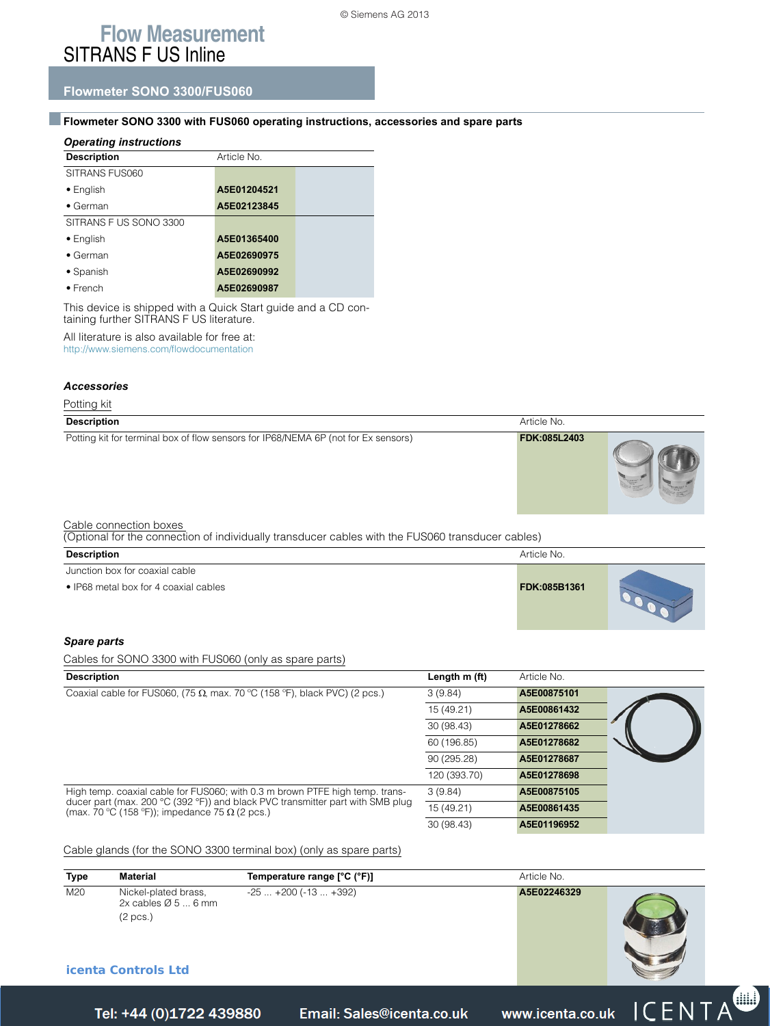## **Flow Measurement** SITRANS F US Inline

### **Flowmeter SONO 3300/FUS060**

#### ■**Flowmeter SONO 3300 with FUS060 operating instructions, accessories and spare parts**

| <b>Operating instructions</b> |             |  |  |  |  |  |  |  |  |
|-------------------------------|-------------|--|--|--|--|--|--|--|--|
| <b>Description</b>            | Article No. |  |  |  |  |  |  |  |  |
| SITRANS FUS060                |             |  |  |  |  |  |  |  |  |
| $\bullet$ English             | A5E01204521 |  |  |  |  |  |  |  |  |
| $\bullet$ German              | A5E02123845 |  |  |  |  |  |  |  |  |
| SITRANS F US SONO 3300        |             |  |  |  |  |  |  |  |  |
| $\bullet$ English             | A5E01365400 |  |  |  |  |  |  |  |  |
| $\bullet$ German              | A5E02690975 |  |  |  |  |  |  |  |  |
| $\bullet$ Spanish             | A5E02690992 |  |  |  |  |  |  |  |  |
| $\bullet$ French              | A5E02690987 |  |  |  |  |  |  |  |  |

This device is shipped with a Quick Start guide and a CD containing further SITRANS F US literature.

All literature is also available for free at:

http://www.siemens.com/flowdocumentation

#### *Accessories*

Potting kit

| <b>Description</b>                                                                 | Article No.  |  |
|------------------------------------------------------------------------------------|--------------|--|
| Potting kit for terminal box of flow sensors for IP68/NEMA 6P (not for Ex sensors) | FDK:085L2403 |  |

#### Cable connection boxes

(Optional for the connection of individually transducer cables with the FUS060 transducer cables)

| Article No.  |  |
|--------------|--|
|              |  |
| FDK:085B1361 |  |
|              |  |

#### *Spare parts*

| Cables for SONO 3300 with FUS060 (only as spare parts)                                                                                  |               |             |  |  |  |  |
|-----------------------------------------------------------------------------------------------------------------------------------------|---------------|-------------|--|--|--|--|
| <b>Description</b>                                                                                                                      | Length m (ft) | Article No. |  |  |  |  |
| Coaxial cable for FUS060, (75 $\Omega$ , max. 70 °C (158 °F), black PVC) (2 pcs.)                                                       | 3(9.84)       | A5E00875101 |  |  |  |  |
|                                                                                                                                         | 15 (49.21)    | A5E00861432 |  |  |  |  |
|                                                                                                                                         | 30 (98.43)    | A5E01278662 |  |  |  |  |
|                                                                                                                                         | 60 (196.85)   | A5E01278682 |  |  |  |  |
|                                                                                                                                         | 90 (295.28)   | A5E01278687 |  |  |  |  |
|                                                                                                                                         | 120 (393.70)  | A5E01278698 |  |  |  |  |
| High temp. coaxial cable for FUS060; with 0.3 m brown PTFE high temp. trans-                                                            | 3(9.84)       | A5E00875105 |  |  |  |  |
| ducer part (max. 200 °C (392 °F)) and black PVC transmitter part with SMB plug<br>(max. 70 °C (158 °F)); impedance 75 $\Omega$ (2 pcs.) | 15 (49.21)    | A5E00861435 |  |  |  |  |
|                                                                                                                                         | 30 (98.43)    | A5E01196952 |  |  |  |  |

Cable glands (for the SONO 3300 terminal box) (only as spare parts)

| <b>Type</b> | <b>Material</b>                                                                                   | Temperature range [°C (°F)] | Article No.             |  |
|-------------|---------------------------------------------------------------------------------------------------|-----------------------------|-------------------------|--|
| M20         | Nickel-plated brass,<br>2x cables $\varnothing$ 5  6 mm<br>(2 pcs.)<br><b>icenta Controls Ltd</b> | $-25+200(-13+392)$          | A5E02246329             |  |
|             | Tel: +44 (0)1722 439880                                                                           | Email: Sales@icenta.co.uk   | www.icenta.co.uk ICENTA |  |
|             |                                                                                                   |                             |                         |  |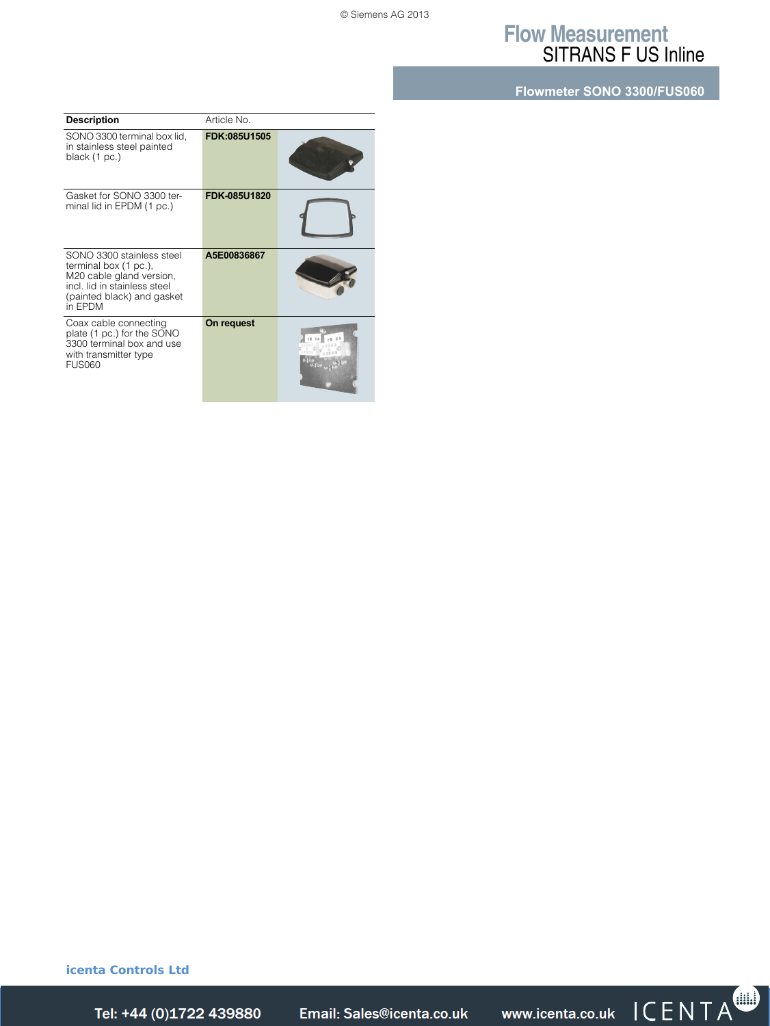## **Flow Measurement** SITRANS F US Inline

**Flowmeter SONO 3300/FUS060**

| <b>Description</b>                                                                                                                                      | Article No.         |  |
|---------------------------------------------------------------------------------------------------------------------------------------------------------|---------------------|--|
| SONO 3300 terminal box lid,<br>in stainless steel painted<br>black (1 pc.)                                                                              | FDK:085U1505        |  |
| Gasket for SONO 3300 ter-<br>minal lid in EPDM (1 pc.)                                                                                                  | <b>FDK-085U1820</b> |  |
| SONO 3300 stainless steel<br>terminal box (1 pc.),<br>M20 cable gland version,<br>incl. lid in stainless steel<br>(painted black) and gasket<br>in FPDM | A5E00836867         |  |
| Coax cable connecting<br>plate (1 pc.) for the SONO<br>3300 terminal box and use<br>with transmitter type<br><b>FUS060</b>                              | On request          |  |

**icenta Controls Ltd** 



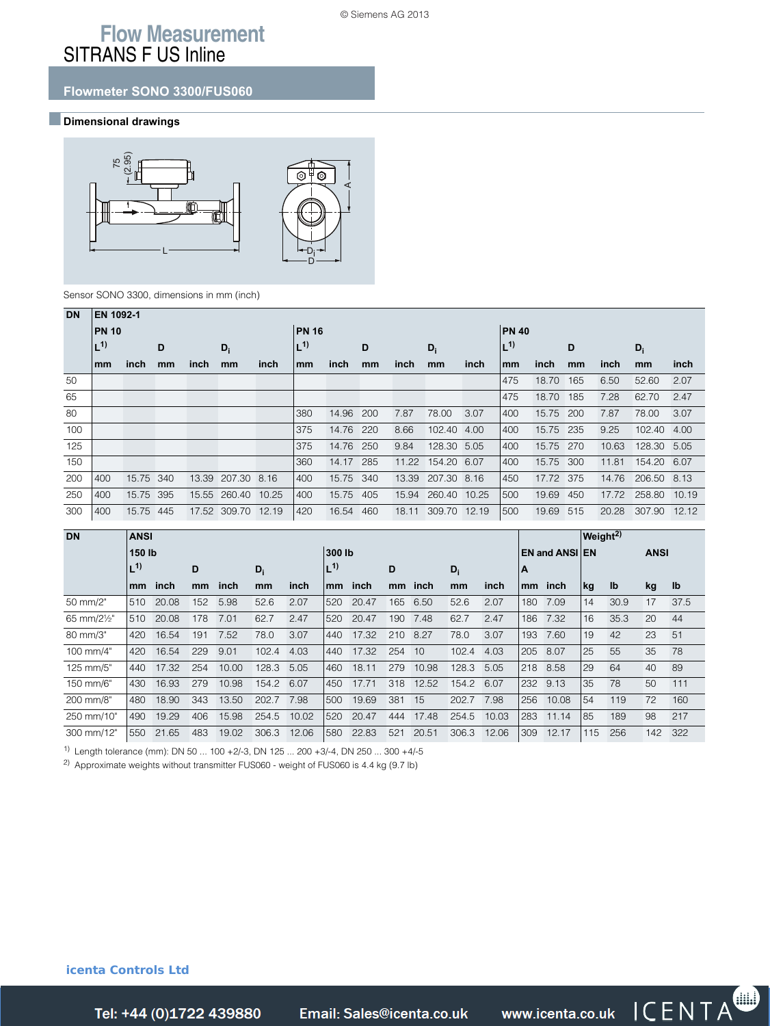## **Flow Measurement** SITRANS F US Inline

### **Flowmeter SONO 3300/FUS060**

#### ■**Dimensional drawings**



#### Sensor SONO 3300, dimensions in mm (inch)

| <b>DN</b> | <b>EN 1092-1</b> |           |    |      |                   |       |              |           |     |       |                   |       |              |           |     |       |             |       |
|-----------|------------------|-----------|----|------|-------------------|-------|--------------|-----------|-----|-------|-------------------|-------|--------------|-----------|-----|-------|-------------|-------|
|           | <b>PN 10</b>     |           |    |      |                   |       | <b>PN 16</b> |           |     |       |                   |       | <b>PN 40</b> |           |     |       |             |       |
|           | $L^{1}$          |           | D  |      | $D_i$             |       | $L^{1)}$     |           | D   |       | $D_i$             |       | $L^{1}$      |           | D   |       | $D_i$       |       |
|           | mm               | inch      | mm | inch | mm                | inch  | mm           | inch      | mm  | inch  | mm                | inch  | mm           | inch      | mm  | inch  | mm          | inch  |
| 50        |                  |           |    |      |                   |       |              |           |     |       |                   |       | 475          | 18.70     | 165 | 6.50  | 52.60       | 2.07  |
| 65        |                  |           |    |      |                   |       |              |           |     |       |                   |       | 475          | 18.70     | 185 | 7.28  | 62.70       | 2.47  |
| 80        |                  |           |    |      |                   |       | 380          | 14.96     | 200 | 7.87  | 78.00             | 3.07  | 400          | 15.75     | 200 | 7.87  | 78.00       | 3.07  |
| 100       |                  |           |    |      |                   |       | 375          | 14.76     | 220 | 8.66  | 102.40            | 4.00  | 400          | 15.75     | 235 | 9.25  | 102.40      | 4.00  |
| 125       |                  |           |    |      |                   |       | 375          | 14.76     | 250 | 9.84  | 128.30            | 5.05  | 400          | 15.75     | 270 | 10.63 | 128.30 5.05 |       |
| 150       |                  |           |    |      |                   |       | 360          | 14.17     | 285 | 11.22 | 154.20 6.07       |       | 400          | 15.75     | 300 | 11.81 | 154.20 6.07 |       |
| 200       | 400              | 15.75 340 |    |      | 13.39 207.30 8.16 |       | 400          | 15.75 340 |     |       | 13.39 207.30 8.16 |       | 450          | 17.72 375 |     | 14.76 | 206.50 8.13 |       |
| 250       | 400              | 15.75 395 |    |      | 15.55 260.40      | 10.25 | 400          | 15.75     | 405 | 15.94 | 260.40 10.25      |       | 500          | 19.69     | 450 | 17.72 | 258.80      | 10.19 |
| 300       | 400              | 15.75 445 |    |      | 17.52 309.70      | 12.19 | 420          | 16.54     | 460 | 18.11 | 309.70            | 12.19 | 500          | 19.69     | 515 | 20.28 | 307.90      | 12.12 |

| <b>DN</b>               | <b>ANSI</b> |       |               |       |       |       |               |       |     |         |       |       |                       |       | Weight $^{2)}$ |                           |             |      |
|-------------------------|-------------|-------|---------------|-------|-------|-------|---------------|-------|-----|---------|-------|-------|-----------------------|-------|----------------|---------------------------|-------------|------|
|                         | 150 lb      |       |               |       |       |       | 300 lb        |       |     |         |       |       | <b>EN and ANSI EN</b> |       |                |                           | <b>ANSI</b> |      |
|                         | $L^{1}$     |       | D             |       | $D_i$ |       | $L^{1}$       |       | D   |         | $D_i$ |       | A                     |       |                |                           |             |      |
|                         | mm          | inch  | <sub>mm</sub> | inch  | mm    | inch  | <sub>mm</sub> | inch  |     | mm inch | mm    | inch  | mm                    | inch  | kg             | $\mathsf{I}^{\mathsf{b}}$ | kg          | lb   |
| 50 mm/2"                | 510         | 20.08 | 152           | 5.98  | 52.6  | 2.07  | 520           | 20.47 | 165 | 6.50    | 52.6  | 2.07  | 180                   | 7.09  | 14             | 30.9                      | 17          | 37.5 |
| 65 mm/2 $\frac{1}{2}$ " | 510         | 20.08 | 178           | 7.01  | 62.7  | 2.47  | 520           | 20.47 | 190 | 7.48    | 62.7  | 2.47  | 186                   | 7.32  | 16             | 35.3                      | 20          | 44   |
| 80 mm/3"                | 420         | 16.54 | 191           | 7.52  | 78.0  | 3.07  | 440           | 17.32 | 210 | 8.27    | 78.0  | 3.07  | 193                   | 7.60  | 19             | 42                        | 23          | 51   |
| 100 mm/4"               | 420         | 16.54 | 229           | 9.01  | 102.4 | 4.03  | 440           | 17.32 | 254 | 10      | 102.4 | 4.03  | 205                   | 8.07  | 25             | 55                        | 35          | 78   |
| 125 mm/5"               | 440         | 17.32 | 254           | 10.00 | 128.3 | 5.05  | 460           | 18.11 | 279 | 10.98   | 128.3 | 5.05  | 218                   | 8.58  | 29             | 64                        | 40          | 89   |
| 150 mm/6"               | 430         | 16.93 | 279           | 10.98 | 154.2 | 6.07  | 450           | 17.71 | 318 | 12.52   | 154.2 | 6.07  | 232                   | 9.13  | 35             | 78                        | 50          | 111  |
| 200 mm/8"               | 480         | 18.90 | 343           | 13.50 | 202.7 | 7.98  | 500           | 19.69 | 381 | 15      | 202.7 | 7.98  | 256                   | 10.08 | 54             | 119                       | 72          | 160  |
| 250 mm/10"              | 490         | 19.29 | 406           | 15.98 | 254.5 | 10.02 | 520           | 20.47 | 444 | 17.48   | 254.5 | 10.03 | 283                   | 11.14 | 85             | 189                       | 98          | 217  |
| 300 mm/12"              | 550         | 21.65 | 483           | 19.02 | 306.3 | 12.06 | 580           | 22.83 | 521 | 20.51   | 306.3 | 12.06 | 309                   | 12.17 | 115            | 256                       | 142         | 322  |

1) Length tolerance (mm): DN 50 ... 100 +2/-3, DN 125 ... 200 +3/-4, DN 250 ... 300 +4/-5

2) Approximate weights without transmitter FUS060 - weight of FUS060 is 4.4 kg (9.7 lb)

**icenta Controls Ltd** 

Tel: +44 (0)1722 439880

*Tel: +44 (0)1722 41 Fax: +44 (0)1722 e: sales@icenta.co.uk www.icenta.co.uk*